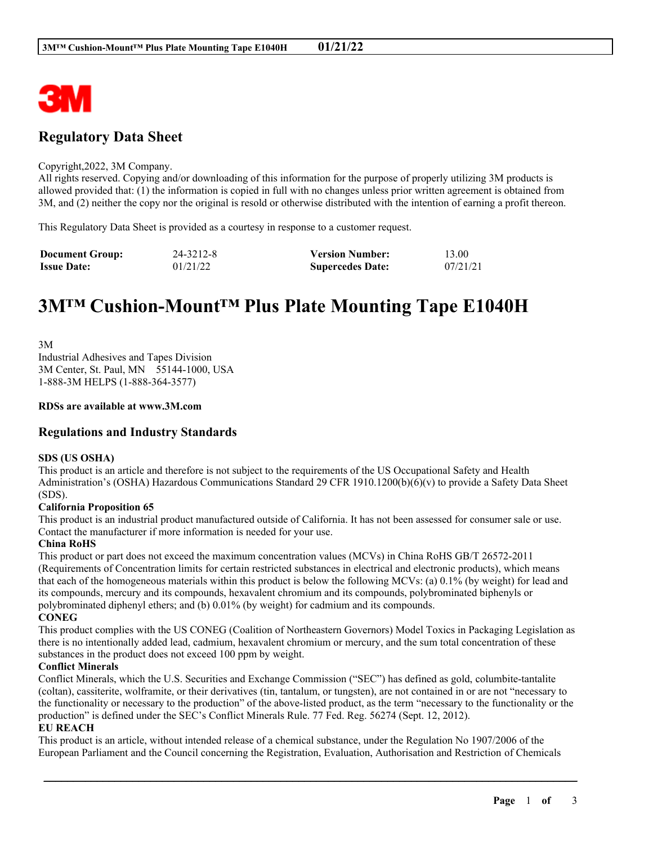

# **Regulatory Data Sheet**

#### Copyright,2022, 3M Company.

All rights reserved. Copying and/or downloading of this information for the purpose of properly utilizing 3M products is allowed provided that: (1) the information is copied in full with no changes unless prior written agreement is obtained from 3M, and (2) neither the copy nor the original is resold or otherwise distributed with the intention of earning a profit thereon.

This Regulatory Data Sheet is provided as a courtesy in response to a customer request.

| <b>Document Group:</b> | 24-3212-8 | <b>Version Number:</b>  | 13.00    |
|------------------------|-----------|-------------------------|----------|
| <b>Issue Date:</b>     | 01/21/22  | <b>Supercedes Date:</b> | 07/21/21 |

# **3M™ Cushion-Mount™ Plus Plate Mounting Tape E1040H**

3M Industrial Adhesives and Tapes Division 3M Center, St. Paul, MN 55144-1000, USA 1-888-3M HELPS (1-888-364-3577)

#### **RDSs are available at www.3M.com**

#### **Regulations and Industry Standards**

#### **SDS (US OSHA)**

This product is an article and therefore is not subject to the requirements of the US Occupational Safety and Health Administration's (OSHA) Hazardous Communications Standard 29 CFR 1910.1200(b)(6)(v) to provide a Safety Data Sheet (SDS).

#### **California Proposition 65**

This product is an industrial product manufactured outside of California. It has not been assessed for consumer sale or use. Contact the manufacturer if more information is needed for your use.

#### **China RoHS**

This product or part does not exceed the maximum concentration values (MCVs) in China RoHS GB/T 26572-2011 (Requirements of Concentration limits for certain restricted substances in electrical and electronic products), which means that each of the homogeneous materials within this product is below the following MCVs: (a) 0.1% (by weight) for lead and its compounds, mercury and its compounds, hexavalent chromium and its compounds, polybrominated biphenyls or polybrominated diphenyl ethers; and (b) 0.01% (by weight) for cadmium and its compounds. **CONEG**

This product complies with the US CONEG (Coalition of Northeastern Governors) Model Toxics in Packaging Legislation as there is no intentionally added lead, cadmium, hexavalent chromium or mercury, and the sum total concentration of these substances in the product does not exceed 100 ppm by weight.

#### **Conflict Minerals**

Conflict Minerals, which the U.S. Securities and Exchange Commission ("SEC") has defined as gold, columbite-tantalite (coltan), cassiterite, wolframite, or their derivatives (tin, tantalum, or tungsten), are not contained in or are not "necessary to the functionality or necessary to the production" of the above-listed product, as the term "necessary to the functionality or the production" is defined under the SEC's Conflict Minerals Rule. 77 Fed. Reg. 56274 (Sept. 12, 2012).

#### **EU REACH**

This product is an article, without intended release of a chemical substance, under the Regulation No 1907/2006 of the European Parliament and the Council concerning the Registration, Evaluation, Authorisation and Restriction of Chemicals

\_\_\_\_\_\_\_\_\_\_\_\_\_\_\_\_\_\_\_\_\_\_\_\_\_\_\_\_\_\_\_\_\_\_\_\_\_\_\_\_\_\_\_\_\_\_\_\_\_\_\_\_\_\_\_\_\_\_\_\_\_\_\_\_\_\_\_\_\_\_\_\_\_\_\_\_\_\_\_\_\_\_\_\_\_\_\_\_\_\_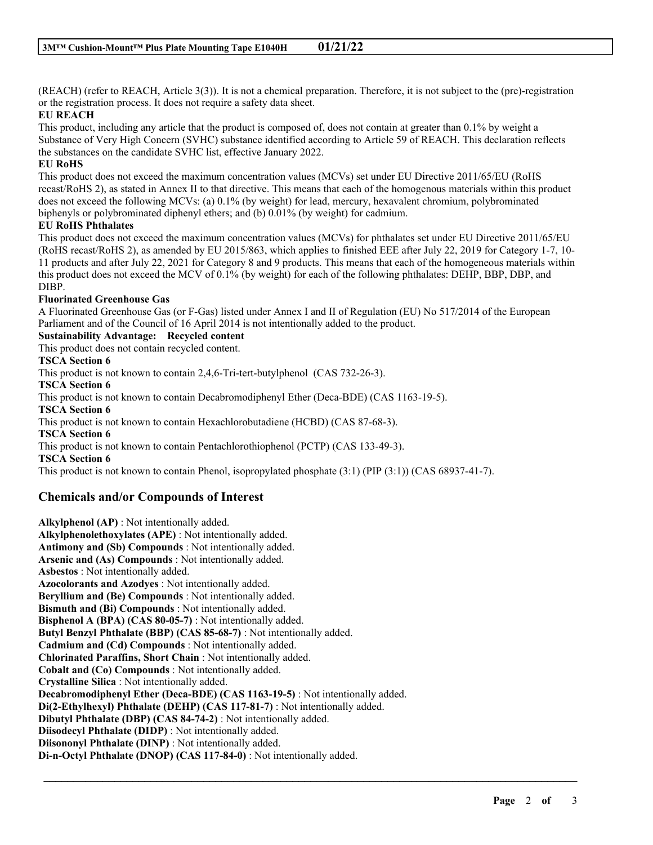(REACH) (refer to REACH, Article 3(3)). It is not a chemical preparation. Therefore, it is not subject to the (pre)-registration or the registration process. It does not require a safety data sheet.

#### **EU REACH**

This product, including any article that the product is composed of, does not contain at greater than 0.1% by weight a Substance of Very High Concern (SVHC) substance identified according to Article 59 of REACH. This declaration reflects the substances on the candidate SVHC list, effective January 2022.

#### **EU RoHS**

This product does not exceed the maximum concentration values (MCVs) set under EU Directive 2011/65/EU (RoHS recast/RoHS 2), as stated in Annex II to that directive. This means that each of the homogenous materials within this product does not exceed the following MCVs: (a) 0.1% (by weight) for lead, mercury, hexavalent chromium, polybrominated biphenyls or polybrominated diphenyl ethers; and (b) 0.01% (by weight) for cadmium.

#### **EU RoHS Phthalates**

This product does not exceed the maximum concentration values (MCVs) for phthalates set under EU Directive 2011/65/EU (RoHS recast/RoHS 2), as amended by EU 2015/863, which applies to finished EEE after July 22, 2019 for Category 1-7, 10- 11 products and after July 22, 2021 for Category 8 and 9 products. This means that each of the homogeneous materials within this product does not exceed the MCV of 0.1% (by weight) for each of the following phthalates: DEHP, BBP, DBP, and DIBP.

#### **Fluorinated Greenhouse Gas**

A Fluorinated Greenhouse Gas (or F-Gas) listed under Annex I and II of Regulation (EU) No 517/2014 of the European Parliament and of the Council of 16 April 2014 is not intentionally added to the product.

## **Sustainability Advantage: Recycled content**

This product does not contain recycled content.

#### **TSCA Section 6**

This product is not known to contain 2,4,6-Tri-tert-butylphenol (CAS 732-26-3).

**TSCA Section 6**

This product is not known to contain Decabromodiphenyl Ether (Deca-BDE) (CAS 1163-19-5).

**TSCA Section 6**

This product is not known to contain Hexachlorobutadiene (HCBD) (CAS 87-68-3).

**TSCA Section 6**

This product is not known to contain Pentachlorothiophenol (PCTP) (CAS 133-49-3).

**TSCA Section 6**

This product is not known to contain Phenol, isopropylated phosphate (3:1) (PIP (3:1)) (CAS 68937-41-7).

\_\_\_\_\_\_\_\_\_\_\_\_\_\_\_\_\_\_\_\_\_\_\_\_\_\_\_\_\_\_\_\_\_\_\_\_\_\_\_\_\_\_\_\_\_\_\_\_\_\_\_\_\_\_\_\_\_\_\_\_\_\_\_\_\_\_\_\_\_\_\_\_\_\_\_\_\_\_\_\_\_\_\_\_\_\_\_\_\_\_

### **Chemicals and/or Compounds of Interest**

**Alkylphenol (AP)** : Not intentionally added. **Alkylphenolethoxylates (APE)** : Not intentionally added. **Antimony and (Sb) Compounds** : Not intentionally added. **Arsenic and (As) Compounds** : Not intentionally added. **Asbestos** : Not intentionally added. **Azocolorants and Azodyes** : Not intentionally added. **Beryllium and (Be) Compounds** : Not intentionally added. **Bismuth and (Bi) Compounds** : Not intentionally added. **Bisphenol A (BPA) (CAS 80-05-7)** : Not intentionally added. **Butyl Benzyl Phthalate (BBP) (CAS 85-68-7)** : Not intentionally added. **Cadmium and (Cd) Compounds** : Not intentionally added. **Chlorinated Paraffins, Short Chain** : Not intentionally added. **Cobalt and (Co) Compounds** : Not intentionally added. **Crystalline Silica** : Not intentionally added. **Decabromodiphenyl Ether (Deca-BDE) (CAS 1163-19-5)** : Not intentionally added. **Di(2-Ethylhexyl) Phthalate (DEHP) (CAS 117-81-7)** : Not intentionally added. **Dibutyl Phthalate (DBP) (CAS 84-74-2)** : Not intentionally added. **Diisodecyl Phthalate (DIDP)** : Not intentionally added. **Diisononyl Phthalate (DINP)** : Not intentionally added. **Di-n-Octyl Phthalate (DNOP) (CAS 117-84-0)** : Not intentionally added.